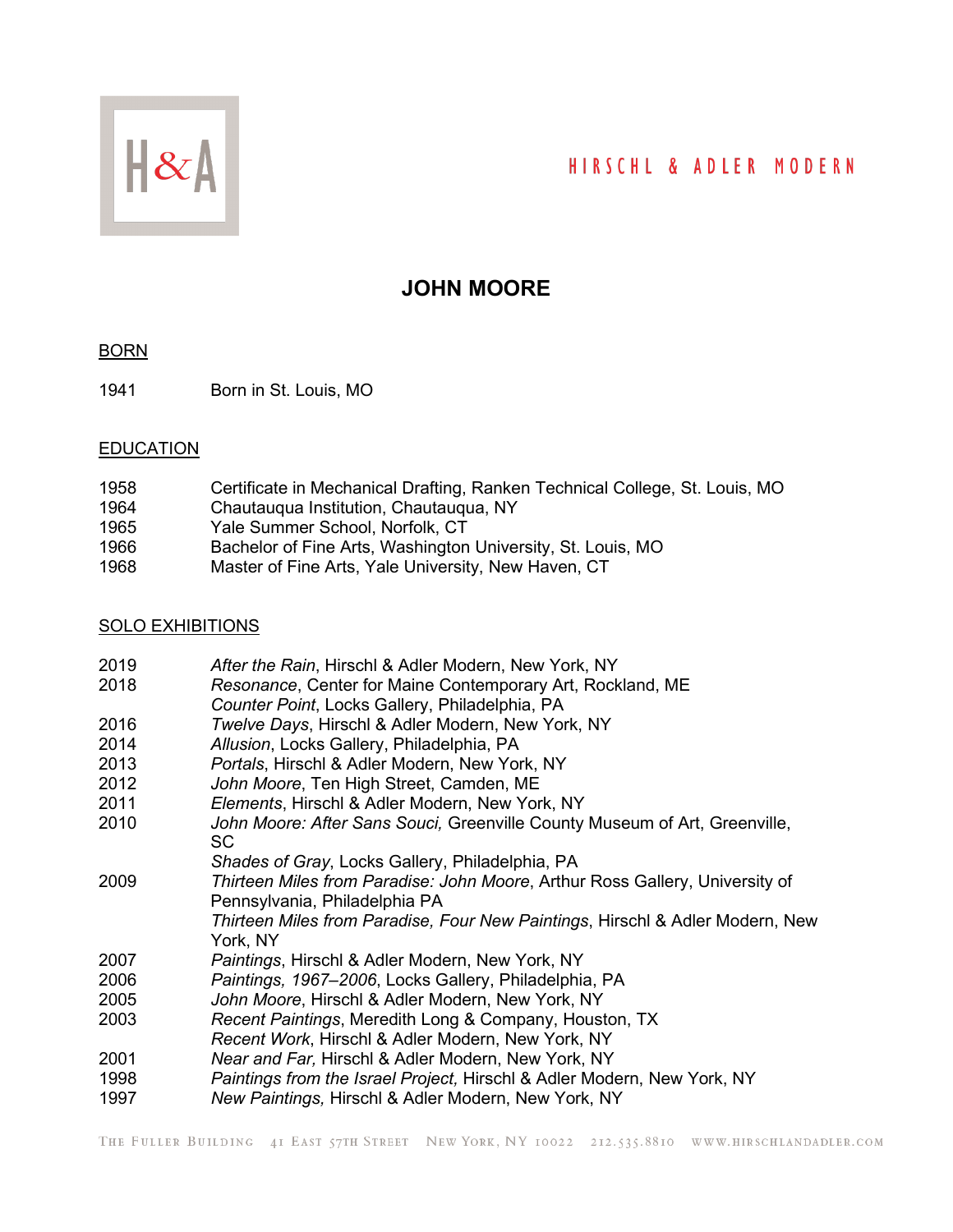# HIRSCHL & ADLER MODERN



# **JOHN MOORE**

#### **BORN**

Born in St. Louis, MO

#### **EDUCATION**

| 1958 | Certificate in Mechanical Drafting, Ranken Technical College, St. Louis, MO |
|------|-----------------------------------------------------------------------------|
| 1964 | Chautaugua Institution, Chautaugua, NY                                      |
| 1965 | Yale Summer School, Norfolk, CT                                             |
| 1966 | Bachelor of Fine Arts, Washington University, St. Louis, MO                 |
| 1968 | Master of Fine Arts, Yale University, New Haven, CT                         |

#### SOLO EXHIBITIONS

| 2019 | After the Rain, Hirschl & Adler Modern, New York, NY                                                          |
|------|---------------------------------------------------------------------------------------------------------------|
| 2018 | Resonance, Center for Maine Contemporary Art, Rockland, ME                                                    |
|      | Counter Point, Locks Gallery, Philadelphia, PA                                                                |
| 2016 | Twelve Days, Hirschl & Adler Modern, New York, NY                                                             |
| 2014 | Allusion, Locks Gallery, Philadelphia, PA                                                                     |
| 2013 | Portals, Hirschl & Adler Modern, New York, NY                                                                 |
| 2012 | John Moore, Ten High Street, Camden, ME                                                                       |
| 2011 | Elements, Hirschl & Adler Modern, New York, NY                                                                |
| 2010 | John Moore: After Sans Souci, Greenville County Museum of Art, Greenville,<br><b>SC</b>                       |
|      | Shades of Gray, Locks Gallery, Philadelphia, PA                                                               |
| 2009 | Thirteen Miles from Paradise: John Moore, Arthur Ross Gallery, University of<br>Pennsylvania, Philadelphia PA |
|      | Thirteen Miles from Paradise, Four New Paintings, Hirschl & Adler Modern, New<br>York, NY                     |
| 2007 | Paintings, Hirschl & Adler Modern, New York, NY                                                               |
| 2006 | Paintings, 1967–2006, Locks Gallery, Philadelphia, PA                                                         |
| 2005 | John Moore, Hirschl & Adler Modern, New York, NY                                                              |
| 2003 | Recent Paintings, Meredith Long & Company, Houston, TX                                                        |
|      | Recent Work, Hirschl & Adler Modern, New York, NY                                                             |
| 2001 | Near and Far, Hirschl & Adler Modern, New York, NY                                                            |
| 1998 | <i>Paintings from the Israel Project, Hirschl &amp; Adler Modern, New York, NY</i>                            |
| 1997 | New Paintings, Hirschl & Adler Modern, New York, NY                                                           |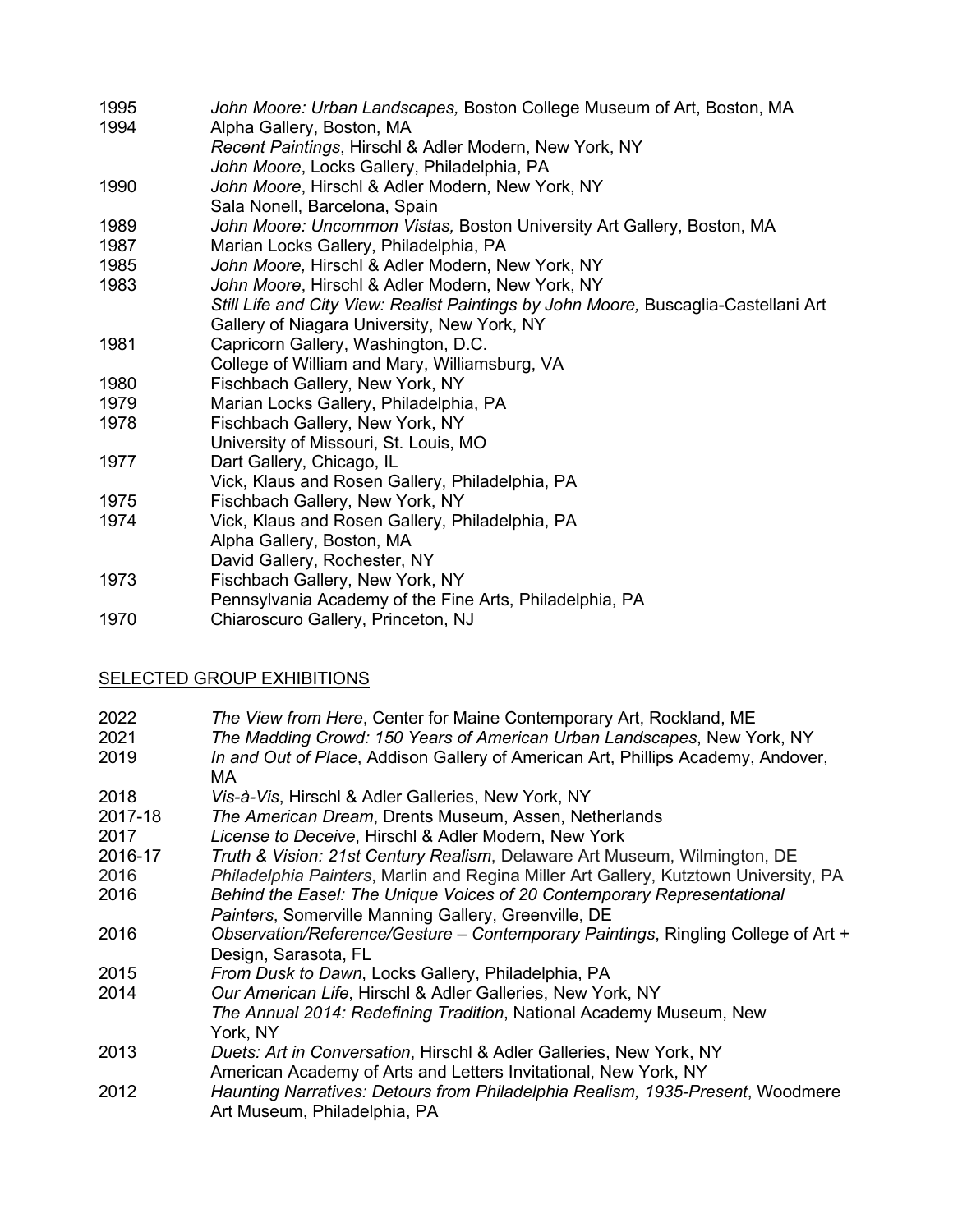- 1995 *John Moore: Urban Landscapes,* Boston College Museum of Art, Boston, MA 1994 Alpha Gallery, Boston, MA
	- *Recent Paintings*, Hirschl & Adler Modern, New York, NY
- *John Moore*, Locks Gallery, Philadelphia, PA
- 1990 *John Moore*, Hirschl & Adler Modern, New York, NY
- Sala Nonell, Barcelona, Spain
- 1989 *John Moore: Uncommon Vistas,* Boston University Art Gallery, Boston, MA
- 1987 Marian Locks Gallery, Philadelphia, PA
- 1985 *John Moore,* Hirschl & Adler Modern, New York, NY
- 1983 *John Moore*, Hirschl & Adler Modern, New York, NY
- *Still Life and City View: Realist Paintings by John Moore,* Buscaglia-Castellani Art Gallery of Niagara University, New York, NY
- 1981 Capricorn Gallery, Washington, D.C.
- College of William and Mary, Williamsburg, VA
- 1980 Fischbach Gallery, New York, NY
- 1979 Marian Locks Gallery, Philadelphia, PA
- 1978 Fischbach Gallery, New York, NY
- University of Missouri, St. Louis, MO
- 1977 Dart Gallery, Chicago, IL
- Vick, Klaus and Rosen Gallery, Philadelphia, PA
- 1975 Fischbach Gallery, New York, NY
- 1974 Vick, Klaus and Rosen Gallery, Philadelphia, PA Alpha Gallery, Boston, MA David Gallery, Rochester, NY
- 1973 Fischbach Gallery, New York, NY
- Pennsylvania Academy of the Fine Arts, Philadelphia, PA
- 1970 Chiaroscuro Gallery, Princeton, NJ

# SELECTED GROUP EXHIBITIONS

- 2022 *The View from Here*, Center for Maine Contemporary Art, Rockland, ME
- 2021 *The Madding Crowd: 150 Years of American Urban Landscapes*, New York, NY In and Out of Place, Addison Gallery of American Art, Phillips Academy, Andover, MA
- 2018 *Vis-à-Vis*, Hirschl & Adler Galleries, New York, NY
- 
- 2017-18 *The American Dream*, Drents Museum, Assen, Netherlands License to Deceive, Hirschl & Adler Modern, New York
- 2016-17 *[Truth & Vision: 21st Century Realism](http://r20.rs6.net/tn.jsp?t=txt6twxab.0.0.xequovcab.0&id=preview&r=3&p=http%3A%2F%2Fwww.delart.org%2Fexhibits%2Ftruth-vision-21st-century-realism%2F)*, Delaware Art Museum, Wilmington, DE
- 2016 *Philadelphia Painters*, Marlin and Regina Miller Art Gallery, Kutztown University, PA
- 2016 *Behind the Easel: The Unique Voices of 20 Contemporary Representational Painters*, Somerville Manning Gallery, Greenville, DE
- 2016 *Observation/Reference/Gesture – Contemporary Paintings*, Ringling College of Art + Design, Sarasota, FL
- 2015 *From Dusk to Dawn*, Locks Gallery, Philadelphia, PA
- 2014 *Our American Life*, Hirschl & Adler Galleries, New York, NY *The Annual 2014: Redefining Tradition*, National Academy Museum, New York, NY
- 2013 *Duets: Art in Conversation*, Hirschl & Adler Galleries, New York, NY American Academy of Arts and Letters Invitational, New York, NY
- 2012 *Haunting Narratives: Detours from Philadelphia Realism, 1935-Present*, Woodmere Art Museum, Philadelphia, PA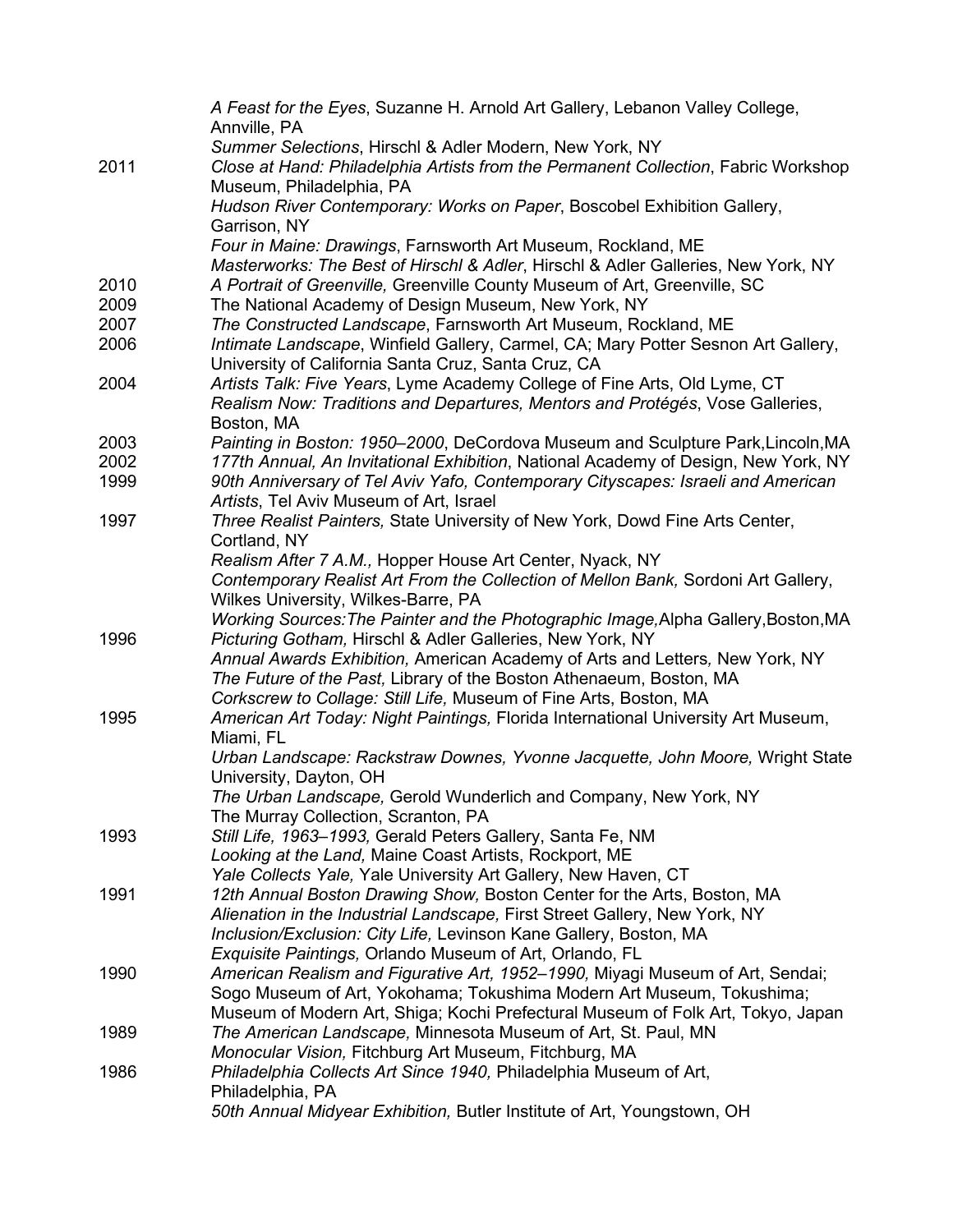|      | A Feast for the Eyes, Suzanne H. Arnold Art Gallery, Lebanon Valley College,<br>Annville, PA                                                    |
|------|-------------------------------------------------------------------------------------------------------------------------------------------------|
|      | Summer Selections, Hirschl & Adler Modern, New York, NY                                                                                         |
| 2011 | Close at Hand: Philadelphia Artists from the Permanent Collection, Fabric Workshop<br>Museum, Philadelphia, PA                                  |
|      | Hudson River Contemporary: Works on Paper, Boscobel Exhibition Gallery,<br>Garrison, NY                                                         |
|      | Four in Maine: Drawings, Farnsworth Art Museum, Rockland, ME                                                                                    |
|      | Masterworks: The Best of Hirschl & Adler, Hirschl & Adler Galleries, New York, NY                                                               |
| 2010 | A Portrait of Greenville, Greenville County Museum of Art, Greenville, SC                                                                       |
| 2009 | The National Academy of Design Museum, New York, NY                                                                                             |
| 2007 | The Constructed Landscape, Farnsworth Art Museum, Rockland, ME                                                                                  |
| 2006 | Intimate Landscape, Winfield Gallery, Carmel, CA; Mary Potter Sesnon Art Gallery,                                                               |
|      | University of California Santa Cruz, Santa Cruz, CA                                                                                             |
| 2004 | Artists Talk: Five Years, Lyme Academy College of Fine Arts, Old Lyme, CT                                                                       |
|      | Realism Now: Traditions and Departures, Mentors and Protégés, Vose Galleries,<br>Boston, MA                                                     |
| 2003 | Painting in Boston: 1950–2000, DeCordova Museum and Sculpture Park, Lincoln, MA                                                                 |
| 2002 | 177th Annual, An Invitational Exhibition, National Academy of Design, New York, NY                                                              |
| 1999 | 90th Anniversary of Tel Aviv Yafo, Contemporary Cityscapes: Israeli and American<br>Artists, Tel Aviv Museum of Art, Israel                     |
| 1997 | Three Realist Painters, State University of New York, Dowd Fine Arts Center,                                                                    |
|      | Cortland, NY                                                                                                                                    |
|      | Realism After 7 A.M., Hopper House Art Center, Nyack, NY                                                                                        |
|      | Contemporary Realist Art From the Collection of Mellon Bank, Sordoni Art Gallery,                                                               |
|      | Wilkes University, Wilkes-Barre, PA                                                                                                             |
| 1996 | Working Sources: The Painter and the Photographic Image, Alpha Gallery, Boston, MA<br>Picturing Gotham, Hirschl & Adler Galleries, New York, NY |
|      | Annual Awards Exhibition, American Academy of Arts and Letters, New York, NY                                                                    |
|      | The Future of the Past, Library of the Boston Athenaeum, Boston, MA                                                                             |
|      | Corkscrew to Collage: Still Life, Museum of Fine Arts, Boston, MA                                                                               |
| 1995 | American Art Today: Night Paintings, Florida International University Art Museum,<br>Miami, FL                                                  |
|      | Urban Landscape: Rackstraw Downes, Yvonne Jacquette, John Moore, Wright State                                                                   |
|      | University, Dayton, OH                                                                                                                          |
|      | The Urban Landscape, Gerold Wunderlich and Company, New York, NY                                                                                |
|      | The Murray Collection, Scranton, PA                                                                                                             |
| 1993 | Still Life, 1963-1993, Gerald Peters Gallery, Santa Fe, NM                                                                                      |
|      | Looking at the Land, Maine Coast Artists, Rockport, ME                                                                                          |
|      | Yale Collects Yale, Yale University Art Gallery, New Haven, CT                                                                                  |
| 1991 | 12th Annual Boston Drawing Show, Boston Center for the Arts, Boston, MA                                                                         |
|      | Alienation in the Industrial Landscape, First Street Gallery, New York, NY                                                                      |
|      | Inclusion/Exclusion: City Life, Levinson Kane Gallery, Boston, MA                                                                               |
|      | Exquisite Paintings, Orlando Museum of Art, Orlando, FL                                                                                         |
| 1990 | American Realism and Figurative Art, 1952–1990, Miyagi Museum of Art, Sendai;                                                                   |
|      | Sogo Museum of Art, Yokohama; Tokushima Modern Art Museum, Tokushima;                                                                           |
|      | Museum of Modern Art, Shiga; Kochi Prefectural Museum of Folk Art, Tokyo, Japan                                                                 |
| 1989 | The American Landscape, Minnesota Museum of Art, St. Paul, MN                                                                                   |
|      | Monocular Vision, Fitchburg Art Museum, Fitchburg, MA                                                                                           |
| 1986 | Philadelphia Collects Art Since 1940, Philadelphia Museum of Art,                                                                               |
|      | Philadelphia, PA                                                                                                                                |
|      | 50th Annual Midyear Exhibition, Butler Institute of Art, Youngstown, OH                                                                         |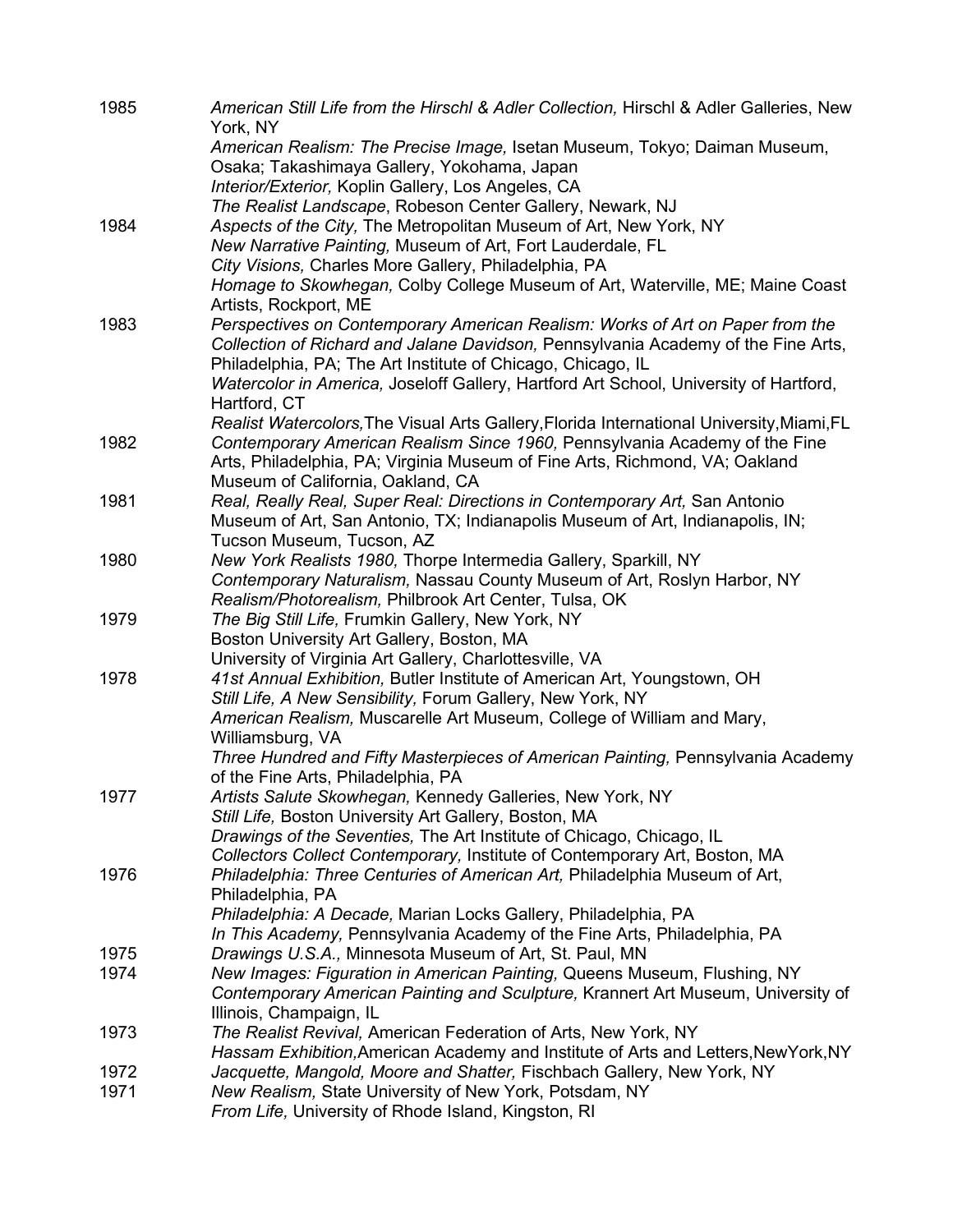| 1985 | American Still Life from the Hirschl & Adler Collection, Hirschl & Adler Galleries, New<br>York, NY                                                       |
|------|-----------------------------------------------------------------------------------------------------------------------------------------------------------|
|      | American Realism: The Precise Image, Isetan Museum, Tokyo; Daiman Museum,<br>Osaka; Takashimaya Gallery, Yokohama, Japan                                  |
|      | Interior/Exterior, Koplin Gallery, Los Angeles, CA                                                                                                        |
|      | The Realist Landscape, Robeson Center Gallery, Newark, NJ                                                                                                 |
| 1984 | Aspects of the City, The Metropolitan Museum of Art, New York, NY                                                                                         |
|      | New Narrative Painting, Museum of Art, Fort Lauderdale, FL                                                                                                |
|      | City Visions, Charles More Gallery, Philadelphia, PA                                                                                                      |
|      | Homage to Skowhegan, Colby College Museum of Art, Waterville, ME; Maine Coast<br>Artists, Rockport, ME                                                    |
| 1983 | Perspectives on Contemporary American Realism: Works of Art on Paper from the                                                                             |
|      | Collection of Richard and Jalane Davidson, Pennsylvania Academy of the Fine Arts,                                                                         |
|      | Philadelphia, PA; The Art Institute of Chicago, Chicago, IL                                                                                               |
|      | Watercolor in America, Joseloff Gallery, Hartford Art School, University of Hartford,<br>Hartford, CT                                                     |
|      | Realist Watercolors, The Visual Arts Gallery, Florida International University, Miami, FL                                                                 |
| 1982 | Contemporary American Realism Since 1960, Pennsylvania Academy of the Fine<br>Arts, Philadelphia, PA; Virginia Museum of Fine Arts, Richmond, VA; Oakland |
|      | Museum of California, Oakland, CA                                                                                                                         |
| 1981 | Real, Really Real, Super Real: Directions in Contemporary Art, San Antonio                                                                                |
|      | Museum of Art, San Antonio, TX; Indianapolis Museum of Art, Indianapolis, IN;                                                                             |
|      | Tucson Museum, Tucson, AZ                                                                                                                                 |
| 1980 | New York Realists 1980, Thorpe Intermedia Gallery, Sparkill, NY                                                                                           |
|      | Contemporary Naturalism, Nassau County Museum of Art, Roslyn Harbor, NY                                                                                   |
|      | Realism/Photorealism, Philbrook Art Center, Tulsa, OK                                                                                                     |
| 1979 | The Big Still Life, Frumkin Gallery, New York, NY                                                                                                         |
|      | Boston University Art Gallery, Boston, MA                                                                                                                 |
| 1978 | University of Virginia Art Gallery, Charlottesville, VA<br>41st Annual Exhibition, Butler Institute of American Art, Youngstown, OH                       |
|      | Still Life, A New Sensibility, Forum Gallery, New York, NY                                                                                                |
|      | American Realism, Muscarelle Art Museum, College of William and Mary,                                                                                     |
|      | Williamsburg, VA                                                                                                                                          |
|      | Three Hundred and Fifty Masterpieces of American Painting, Pennsylvania Academy                                                                           |
|      | of the Fine Arts, Philadelphia, PA                                                                                                                        |
| 1977 | Artists Salute Skowhegan, Kennedy Galleries, New York, NY                                                                                                 |
|      | Still Life, Boston University Art Gallery, Boston, MA                                                                                                     |
|      | Drawings of the Seventies, The Art Institute of Chicago, Chicago, IL                                                                                      |
|      | Collectors Collect Contemporary, Institute of Contemporary Art, Boston, MA                                                                                |
| 1976 | Philadelphia: Three Centuries of American Art, Philadelphia Museum of Art,<br>Philadelphia, PA                                                            |
|      | Philadelphia: A Decade, Marian Locks Gallery, Philadelphia, PA                                                                                            |
|      | In This Academy, Pennsylvania Academy of the Fine Arts, Philadelphia, PA                                                                                  |
| 1975 | Drawings U.S.A., Minnesota Museum of Art, St. Paul, MN                                                                                                    |
| 1974 | New Images: Figuration in American Painting, Queens Museum, Flushing, NY                                                                                  |
|      | Contemporary American Painting and Sculpture, Krannert Art Museum, University of                                                                          |
|      | Illinois, Champaign, IL                                                                                                                                   |
| 1973 | The Realist Revival, American Federation of Arts, New York, NY                                                                                            |
|      | Hassam Exhibition, American Academy and Institute of Arts and Letters, New York, NY                                                                       |
| 1972 | Jacquette, Mangold, Moore and Shatter, Fischbach Gallery, New York, NY                                                                                    |
| 1971 | New Realism, State University of New York, Potsdam, NY                                                                                                    |
|      | From Life, University of Rhode Island, Kingston, RI                                                                                                       |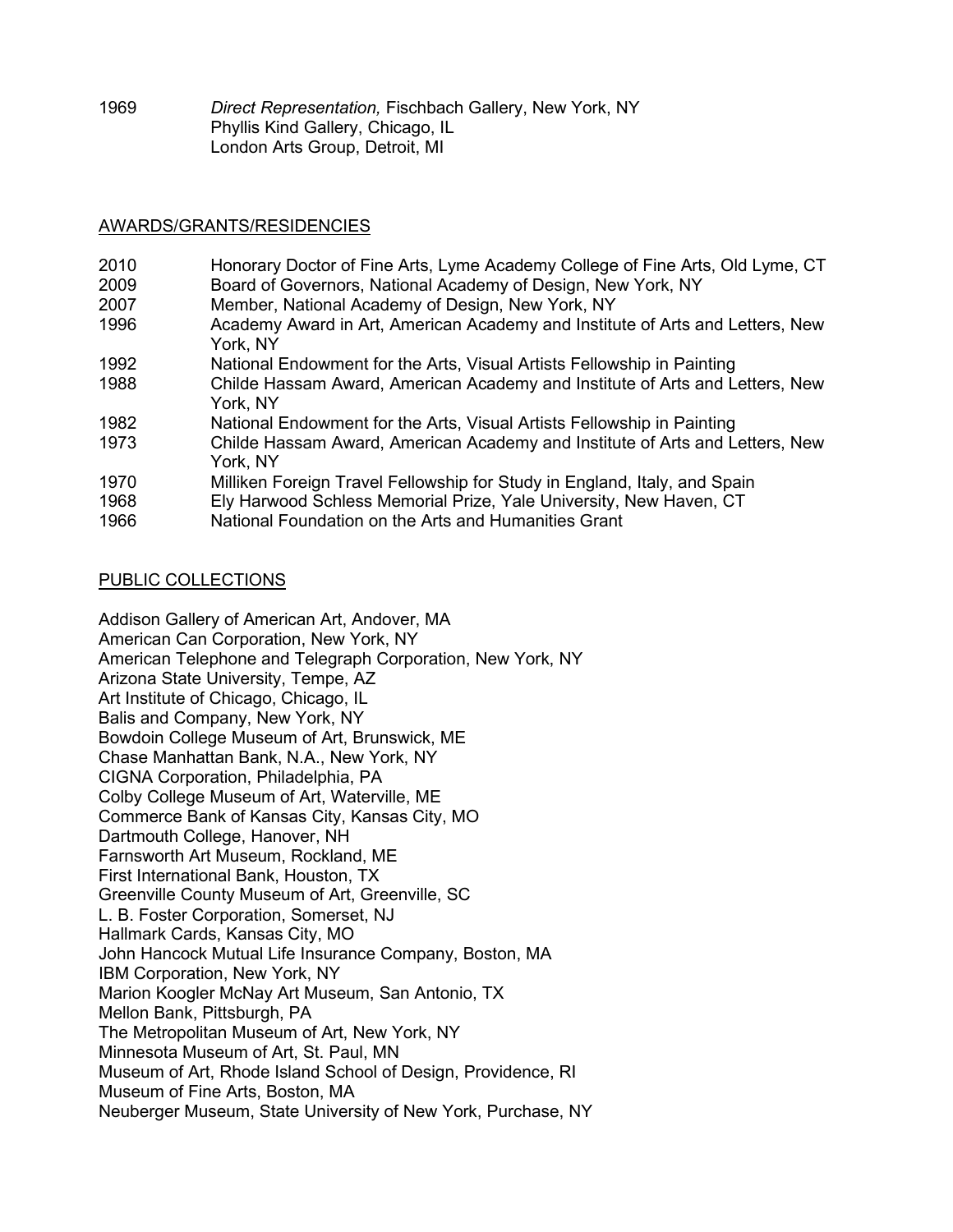1969 *Direct Representation,* Fischbach Gallery, New York, NY Phyllis Kind Gallery, Chicago, IL London Arts Group, Detroit, MI

### AWARDS/GRANTS/RESIDENCIES

| 2010 | Honorary Doctor of Fine Arts, Lyme Academy College of Fine Arts, Old Lyme, CT             |
|------|-------------------------------------------------------------------------------------------|
| 2009 | Board of Governors, National Academy of Design, New York, NY                              |
| 2007 | Member, National Academy of Design, New York, NY                                          |
| 1996 | Academy Award in Art, American Academy and Institute of Arts and Letters, New<br>York, NY |
| 1992 | National Endowment for the Arts, Visual Artists Fellowship in Painting                    |
| 1988 | Childe Hassam Award, American Academy and Institute of Arts and Letters, New<br>York, NY  |
| 1982 | National Endowment for the Arts, Visual Artists Fellowship in Painting                    |
| 1973 | Childe Hassam Award, American Academy and Institute of Arts and Letters, New<br>York, NY  |
| 1970 | Milliken Foreign Travel Fellowship for Study in England, Italy, and Spain                 |
| 1968 | Ely Harwood Schless Memorial Prize, Yale University, New Haven, CT                        |
| 1966 | National Foundation on the Arts and Humanities Grant                                      |

## PUBLIC COLLECTIONS

Addison Gallery of American Art, Andover, MA American Can Corporation, New York, NY American Telephone and Telegraph Corporation, New York, NY Arizona State University, Tempe, AZ Art Institute of Chicago, Chicago, IL Balis and Company, New York, NY Bowdoin College Museum of Art, Brunswick, ME Chase Manhattan Bank, N.A., New York, NY CIGNA Corporation, Philadelphia, PA Colby College Museum of Art, Waterville, ME Commerce Bank of Kansas City, Kansas City, MO Dartmouth College, Hanover, NH Farnsworth Art Museum, Rockland, ME First International Bank, Houston, TX Greenville County Museum of Art, Greenville, SC L. B. Foster Corporation, Somerset, NJ Hallmark Cards, Kansas City, MO John Hancock Mutual Life Insurance Company, Boston, MA IBM Corporation, New York, NY Marion Koogler McNay Art Museum, San Antonio, TX Mellon Bank, Pittsburgh, PA The Metropolitan Museum of Art, New York, NY Minnesota Museum of Art, St. Paul, MN Museum of Art, Rhode Island School of Design, Providence, RI Museum of Fine Arts, Boston, MA Neuberger Museum, State University of New York, Purchase, NY